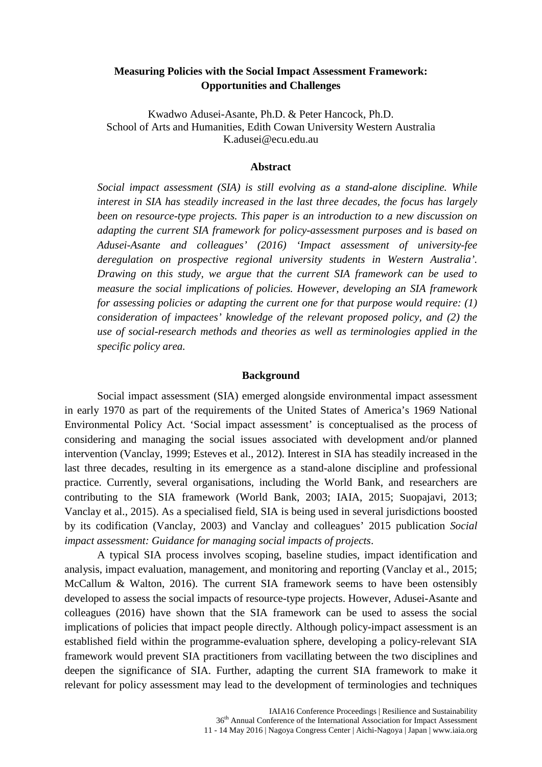# **Measuring Policies with the Social Impact Assessment Framework: Opportunities and Challenges**

Kwadwo Adusei-Asante, Ph.D. & Peter Hancock, Ph.D. School of Arts and Humanities, Edith Cowan University Western Australia K.adusei@ecu.edu.au

#### **Abstract**

*Social impact assessment (SIA) is still evolving as a stand-alone discipline. While interest in SIA has steadily increased in the last three decades, the focus has largely been on resource-type projects. This paper is an introduction to a new discussion on adapting the current SIA framework for policy-assessment purposes and is based on Adusei-Asante and colleagues' (2016) 'Impact assessment of university-fee deregulation on prospective regional university students in Western Australia'. Drawing on this study, we argue that the current SIA framework can be used to measure the social implications of policies. However, developing an SIA framework for assessing policies or adapting the current one for that purpose would require: (1) consideration of impactees' knowledge of the relevant proposed policy, and (2) the use of social-research methods and theories as well as terminologies applied in the specific policy area.*

#### **Background**

Social impact assessment (SIA) emerged alongside environmental impact assessment in early 1970 as part of the requirements of the United States of America's 1969 National Environmental Policy Act. 'Social impact assessment' is conceptualised as the process of considering and managing the social issues associated with development and/or planned intervention (Vanclay, 1999; Esteves et al., 2012). Interest in SIA has steadily increased in the last three decades, resulting in its emergence as a stand-alone discipline and professional practice. Currently, several organisations, including the World Bank, and researchers are contributing to the SIA framework (World Bank, 2003; IAIA, 2015; Suopajavi, 2013; Vanclay et al., 2015). As a specialised field, SIA is being used in several jurisdictions boosted by its codification (Vanclay, 2003) and Vanclay and colleagues' 2015 publication *Social impact assessment: Guidance for managing social impacts of projects*.

A typical SIA process involves scoping, baseline studies, impact identification and analysis, impact evaluation, management, and monitoring and reporting (Vanclay et al., 2015; McCallum & Walton, 2016). The current SIA framework seems to have been ostensibly developed to assess the social impacts of resource-type projects. However, Adusei-Asante and colleagues (2016) have shown that the SIA framework can be used to assess the social implications of policies that impact people directly. Although policy-impact assessment is an established field within the programme-evaluation sphere, developing a policy-relevant SIA framework would prevent SIA practitioners from vacillating between the two disciplines and deepen the significance of SIA. Further, adapting the current SIA framework to make it relevant for policy assessment may lead to the development of terminologies and techniques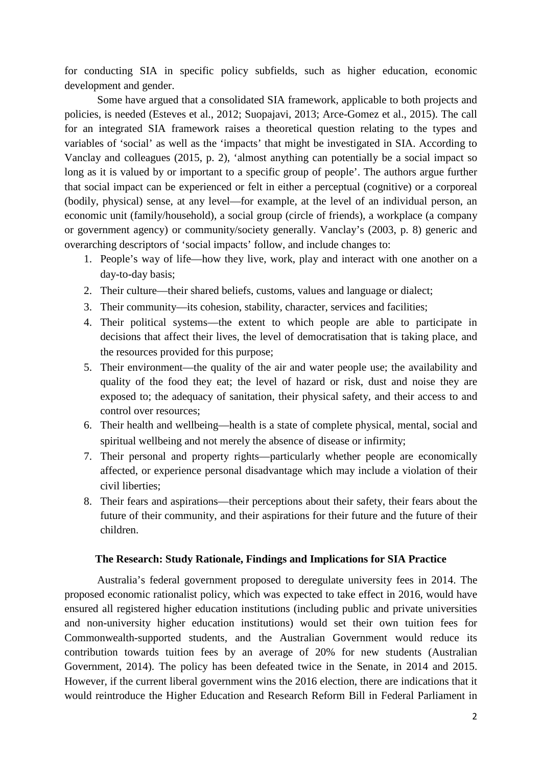for conducting SIA in specific policy subfields, such as higher education, economic development and gender.

Some have argued that a consolidated SIA framework, applicable to both projects and policies, is needed (Esteves et al., 2012; Suopajavi, 2013; Arce-Gomez et al., 2015). The call for an integrated SIA framework raises a theoretical question relating to the types and variables of 'social' as well as the 'impacts' that might be investigated in SIA. According to Vanclay and colleagues (2015, p. 2), 'almost anything can potentially be a social impact so long as it is valued by or important to a specific group of people'. The authors argue further that social impact can be experienced or felt in either a perceptual (cognitive) or a corporeal (bodily, physical) sense, at any level—for example, at the level of an individual person, an economic unit (family/household), a social group (circle of friends), a workplace (a company or government agency) or community/society generally. Vanclay's (2003, p. 8) generic and overarching descriptors of 'social impacts' follow, and include changes to:

- 1. People's way of life—how they live, work, play and interact with one another on a day-to-day basis;
- 2. Their culture—their shared beliefs, customs, values and language or dialect;
- 3. Their community—its cohesion, stability, character, services and facilities;
- 4. Their political systems—the extent to which people are able to participate in decisions that affect their lives, the level of democratisation that is taking place, and the resources provided for this purpose;
- 5. Their environment—the quality of the air and water people use; the availability and quality of the food they eat; the level of hazard or risk, dust and noise they are exposed to; the adequacy of sanitation, their physical safety, and their access to and control over resources;
- 6. Their health and wellbeing—health is a state of complete physical, mental, social and spiritual wellbeing and not merely the absence of disease or infirmity;
- 7. Their personal and property rights—particularly whether people are economically affected, or experience personal disadvantage which may include a violation of their civil liberties;
- 8. Their fears and aspirations—their perceptions about their safety, their fears about the future of their community, and their aspirations for their future and the future of their children.

## **The Research: Study Rationale, Findings and Implications for SIA Practice**

Australia's federal government proposed to deregulate university fees in 2014. The proposed economic rationalist policy, which was expected to take effect in 2016, would have ensured all registered higher education institutions (including public and private universities and non-university higher education institutions) would set their own tuition fees for Commonwealth-supported students, and the Australian Government would reduce its contribution towards tuition fees by an average of 20% for new students (Australian Government, 2014). The policy has been defeated twice in the Senate, in 2014 and 2015. However, if the current liberal government wins the 2016 election, there are indications that it would reintroduce the Higher Education and Research Reform Bill in Federal Parliament in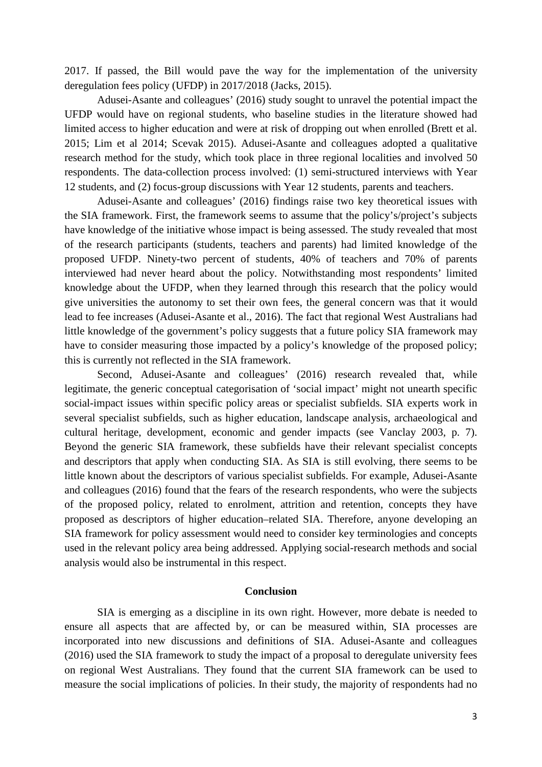2017. If passed, the Bill would pave the way for the implementation of the university deregulation fees policy (UFDP) in 2017/2018 (Jacks, 2015).

Adusei-Asante and colleagues' (2016) study sought to unravel the potential impact the UFDP would have on regional students, who baseline studies in the literature showed had limited access to higher education and were at risk of dropping out when enrolled (Brett et al. 2015; Lim et al 2014; Scevak 2015). Adusei-Asante and colleagues adopted a qualitative research method for the study, which took place in three regional localities and involved 50 respondents. The data-collection process involved: (1) semi-structured interviews with Year 12 students, and (2) focus-group discussions with Year 12 students, parents and teachers.

Adusei-Asante and colleagues' (2016) findings raise two key theoretical issues with the SIA framework. First, the framework seems to assume that the policy's/project's subjects have knowledge of the initiative whose impact is being assessed. The study revealed that most of the research participants (students, teachers and parents) had limited knowledge of the proposed UFDP. Ninety-two percent of students, 40% of teachers and 70% of parents interviewed had never heard about the policy. Notwithstanding most respondents' limited knowledge about the UFDP, when they learned through this research that the policy would give universities the autonomy to set their own fees, the general concern was that it would lead to fee increases (Adusei-Asante et al., 2016). The fact that regional West Australians had little knowledge of the government's policy suggests that a future policy SIA framework may have to consider measuring those impacted by a policy's knowledge of the proposed policy; this is currently not reflected in the SIA framework.

Second, Adusei-Asante and colleagues' (2016) research revealed that, while legitimate, the generic conceptual categorisation of 'social impact' might not unearth specific social-impact issues within specific policy areas or specialist subfields. SIA experts work in several specialist subfields, such as higher education, landscape analysis, archaeological and cultural heritage, development, economic and gender impacts (see Vanclay 2003, p. 7). Beyond the generic SIA framework, these subfields have their relevant specialist concepts and descriptors that apply when conducting SIA. As SIA is still evolving, there seems to be little known about the descriptors of various specialist subfields. For example, Adusei-Asante and colleagues (2016) found that the fears of the research respondents, who were the subjects of the proposed policy, related to enrolment, attrition and retention, concepts they have proposed as descriptors of higher education–related SIA. Therefore, anyone developing an SIA framework for policy assessment would need to consider key terminologies and concepts used in the relevant policy area being addressed. Applying social-research methods and social analysis would also be instrumental in this respect.

## **Conclusion**

SIA is emerging as a discipline in its own right. However, more debate is needed to ensure all aspects that are affected by, or can be measured within, SIA processes are incorporated into new discussions and definitions of SIA. Adusei-Asante and colleagues (2016) used the SIA framework to study the impact of a proposal to deregulate university fees on regional West Australians. They found that the current SIA framework can be used to measure the social implications of policies. In their study, the majority of respondents had no